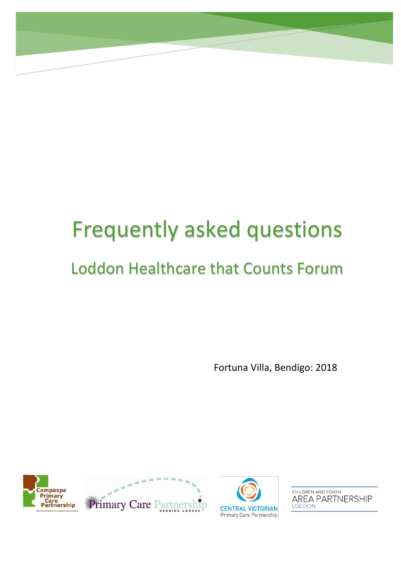# Frequently asked questions

# Loddon Healthcare that Counts Forum

Fortuna Villa, Bendigo: 2018







CHILDREN AND YOUTH **AREA PARTNERSHIP** LODDON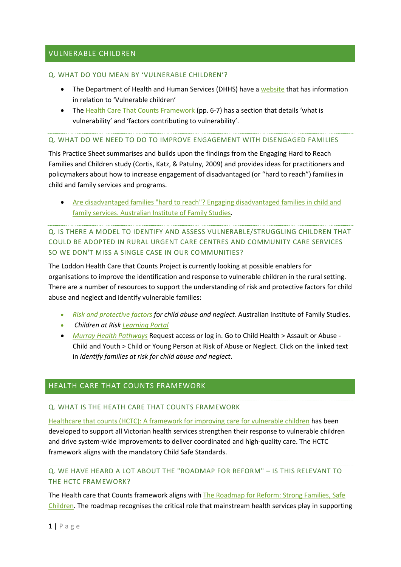## VULNERABLE CHILDREN

#### Q. WHAT DO YOU MEAN BY 'VULNERABLE CHILDREN'?

- The Department of Health and Human Services (DHHS) have a [website](https://www2.health.vic.gov.au/about/populations/vulnerable-children) that has information in relation to 'Vulnerable children'
- The [Health Care That Counts Framework](file:///C:/Users/cvpcp/Downloads/Healthcare%20that%20counts.pdf) (pp. 6-7) has a section that details 'what is vulnerability' and 'factors contributing to vulnerability'.

#### Q. WHAT DO WE NEED TO DO TO IMPROVE ENGAGEMENT WITH DISENGAGED FAMILIES

This Practice Sheet summarises and builds upon the findings from the Engaging Hard to Reach Families and Children study (Cortis, Katz, & Patulny, 2009) and provides ideas for practitioners and policymakers about how to increase engagement of disadvantaged (or "hard to reach") families in child and family services and programs.

• [Are disadvantaged families "hard to reach"? Engaging disadvantaged families in child and](https://aifs.gov.au/cfca/sites/default/files/publication-documents/ps1.pdf)  [family services. Australian Institute of Family Studies.](https://aifs.gov.au/cfca/sites/default/files/publication-documents/ps1.pdf)

# Q. IS THERE A MODEL TO IDENTIFY AND ASSESS VULNERABLE/STRUGGLING CHILDREN THAT COULD BE ADOPTED IN RURAL URGENT CARE CENTRES AND COMMUNITY CARE SERVICES SO WE DON'T MISS A SINGLE CASE IN OUR COMMUNITIES?

The Loddon Health Care that Counts Project is currently looking at possible enablers for organisations to improve the identification and response to vulnerable children in the rural setting. There are a number of resources to support the understanding of risk and protective factors for child abuse and neglect and identify vulnerable families:

- *[Risk and protective factors](https://aifs.gov.au/cfca/publications/risk-and-protective-factors-child-abuse-and-neglect) for child abuse and neglect.* Australian Institute of Family Studies.
- *Children at Risk [Learning Portal](https://vulnerablechildren.kineoportal.com.au/)*
- *[Murray Health Pathways](https://murray.healthpathways.org.au/index.htm)* Request access or log in. Go to Child Health > Assault or Abuse Child and Youth > Child or Young Person at Risk of Abuse or Neglect. Click on the linked text in *Identify families at risk for child abuse and neglect*.

#### HEALTH CARE THAT COUNTS FRAMEWORK

#### Q. WHAT IS THE HEATH CARE THAT COUNTS FRAMEWORK

[Healthcare that counts \(HCTC\): A framework for improving care for vulnerable children](https://www2.health.vic.gov.au/about/publications/policiesandguidelines/healthcare-that-counts-framework) has been developed to support all Victorian health services strengthen their response to vulnerable children and drive system-wide improvements to deliver coordinated and high-quality care. The HCTC framework aligns with the mandatory Child Safe Standards.

# Q. WE HAVE HEARD A LOT ABOUT THE "ROADMAP FOR REFORM" – IS THIS RELEVANT TO THE HCTC FRAMEWORK?

The Health care that Counts framework aligns with The Roadmap for Reform: Strong Families, Safe [Children.](https://dhhs.vic.gov.au/sites/default/files/documents/201805/Roadmap%20for%20Reform%20children%20and%20families%20May%202018_0.pdf) The roadmap recognises the critical role that mainstream health services play in supporting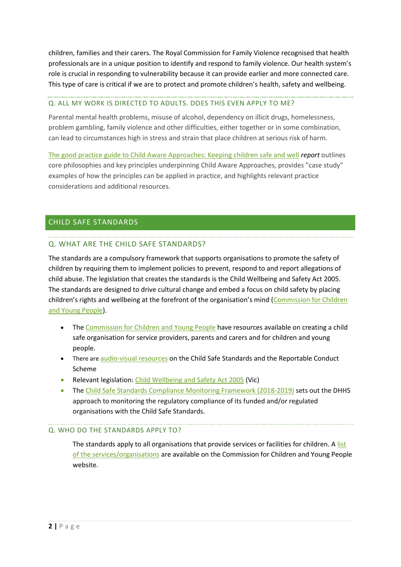children, families and their carers. The Royal Commission for Family Violence recognised that health professionals are in a unique position to identify and respond to family violence. Our health system's role is crucial in responding to vulnerability because it can provide earlier and more connected care. This type of care is critical if we are to protect and promote children's health, safety and wellbeing.

#### Q. ALL MY WORK IS DIRECTED TO ADULTS. DOES THIS EVEN APPLY TO ME?

Parental mental health problems, misuse of alcohol, dependency on illicit drugs, homelessness, problem gambling, family violence and other difficulties, either together or in some combination, can lead to circumstances high in stress and strain that place children at serious risk of harm.

[The good practice guide to Child Aware Approaches: Keeping children safe and well](https://aifs.gov.au/cfca/publications/good-practice-guide-child-aware-approaches/foreword) *report* outlines core philosophies and key principles underpinning Child Aware Approaches, provides "case study" examples of how the principles can be applied in practice, and highlights relevant practice considerations and additional resources.

# CHILD SAFE STANDARDS

### Q. WHAT ARE THE CHILD SAFE STANDARDS?

The standards are a compulsory framework that supports organisations to promote the safety of children by requiring them to implement policies to prevent, respond to and report allegations of child abuse. The legislation that creates the standards is the Child Wellbeing and Safety Act 2005. The standards are designed to drive cultural change and embed a focus on child safety by placing children's rights and wellbeing at the forefront of the organisation's mind ([Commission for Children](https://ccyp.vic.gov.au/assets/resources/CSSGuideFinalV4-Web-New.pdf)  [and Young People\)](https://ccyp.vic.gov.au/assets/resources/CSSGuideFinalV4-Web-New.pdf).

- The [Commission for Children and Young People](https://ccyp.vic.gov.au/child-safety/resources/guides-and-information-sheets/) have resources available on creating a child safe organisation for service providers, parents and carers and for children and young people.
- There are [audio-visual resources](https://ccyp.vic.gov.au/child-safety/resources/videos-presentations/) on the Child Safe Standards and the Reportable Conduct Scheme
- Relevant legislation: [Child Wellbeing and Safety Act 2005](https://www.findandconnect.gov.au/ref/vic/biogs/E000411b.htm) (Vic)
- The [Child Safe Standards Compliance Monitoring Framework \(2018-2019\)](https://providers.dhhs.vic.gov.au/child-safe-standards-compliance-monitoring-framework-2018-2019-word) sets out the DHHS approach to monitoring the regulatory compliance of its funded and/or regulated organisations with the Child Safe Standards.

#### Q. WHO DO THE STANDARDS APPLY TO?

The standards apply to all organisations that provide services or facilities for children. A list [of the services/organisations](https://ccyp.vic.gov.au/child-safety/being-a-child-safe-organisation/the-child-safe-standards/who-do-the-standards-apply-to/) are available on the Commission for Children and Young People website.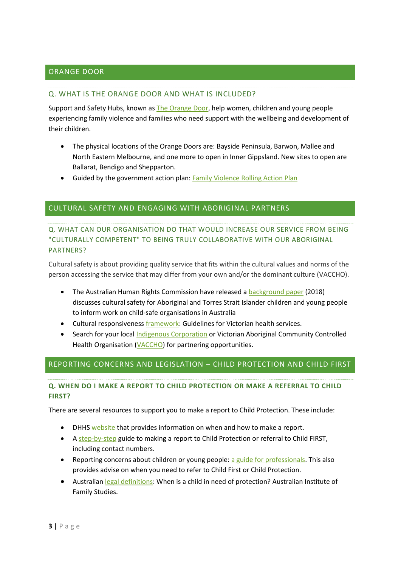# ORANGE DOOR

#### Q. WHAT IS THE ORANGE DOOR AND WHAT IS INCLUDED?

Support and Safety Hubs, known as [The Orange Door,](https://orangedoor.vic.gov.au/) help women, children and young people experiencing family violence and families who need support with the wellbeing and development of their children.

- The physical locations of the Orange Doors are: Bayside Peninsula, Barwon, Mallee and North Eastern Melbourne, and one more to open in Inner Gippsland. New sites to open are Ballarat, Bendigo and Shepparton.
- Guided by the government action plan[: Family Violence Rolling Action Plan](https://www.vic.gov.au/familyviolence/rolling-action-plan.html)

### CULTURAL SAFETY AND ENGAGING WITH ABORIGINAL PARTNERS

# Q. WHAT CAN OUR ORGANISATION DO THAT WOULD INCREASE OUR SERVICE FROM BEING "CULTURALLY COMPETENT" TO BEING TRULY COLLABORATIVE WITH OUR ABORIGINAL PARTNERS?

Cultural safety is about providing quality service that fits within the cultural values and norms of the person accessing the service that may differ from your own and/or the dominant culture (VACCHO).

- The Australian Human Rights Commission have released a [background paper](https://www.humanrights.gov.au/CHILD-SAFE-ORGANISATIONS-AND-CULTURAL-SAFETY) (2018) discusses cultural safety for Aboriginal and Torres Strait Islander children and young people to inform work on child-safe organisations in Australia
- Cultural responsiveness *framework*: Guidelines for Victorian health services.
- Search for your local [Indigenous Corporation](http://www.oric.gov.au/) or Victorian Aboriginal Community Controlled Health Organisation [\(VACCHO\)](https://www.vaccho.org.au/om/our-membership/members/) for partnering opportunities.

# REPORTING CONCERNS AND LEGISLATION – CHILD PROTECTION AND CHILD FIRST

### **Q. WHEN DO I MAKE A REPORT TO CHILD PROTECTION OR MAKE A REFERRAL TO CHILD FIRST?**

There are several resources to support you to make a report to Child Protection. These include:

- DHHS [website](https://providers.dhhs.vic.gov.au/making-report-child-protection) that provides information on when and how to make a report.
- A [step-by-step](https://www.education.vic.gov.au/Documents/childhood/parents/health/mandreportsep10.pdf) guide to making a report to Child Protection or referral to Child FIRST, including contact numbers.
- Reporting concerns about children or young people: [a guide for professionals.](https://services.dhhs.vic.gov.au/sites/default/files/2017-05/Reporting-concerns-about-children-or-young-people_0.docx) This also provides advise on when you need to refer to Child First or Child Protection.
- Australian [legal definitions:](https://aifs.gov.au/cfca/publications/australian-legal-definitions-when-child-need-protection) When is a child in need of protection? Australian Institute of Family Studies.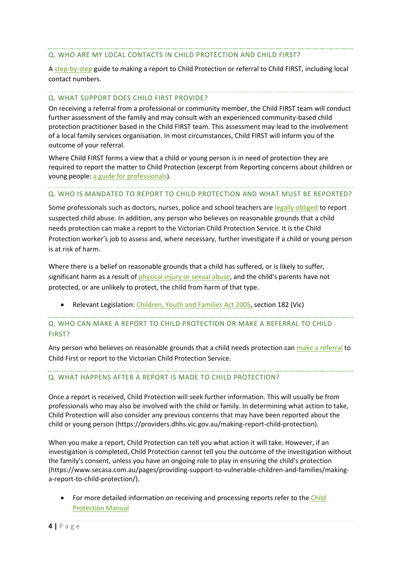#### Q. WHO ARE MY LOCAL CONTACTS IN CHILD PROTECTION AND CHILD FIRST?

A [step-by-step](https://www.education.vic.gov.au/Documents/childhood/parents/health/mandreportsep10.pdf) guide to making a report to Child Protection or referral to Child FIRST, including local contact numbers.

#### Q. WHAT SUPPORT DOES CHILD FIRST PROVIDE?

On receiving a referral from a professional or community member, the Child FIRST team will conduct further assessment of the family and may consult with an experienced community-based child protection practitioner based in the Child FIRST team. This assessment may lead to the involvement of a local family services organisation. In most circumstances, Child FIRST will inform you of the outcome of your referral.

Where Child FIRST forms a view that a child or young person is in need of protection they are required to report the matter to Child Protection (excerpt from Reporting concerns about children or young people: [a guide for professionals](https://services.dhhs.vic.gov.au/sites/default/files/2017-05/Reporting-concerns-about-children-or-young-people_0.docx)).

#### Q. WHO IS MANDATED TO REPORT TO CHILD PROTECTION AND WHAT MUST BE REPORTED?

Some professionals such as doctors, nurses, police and school teachers are [legally obliged](https://services.dhhs.vic.gov.au/child-protection) to report suspected child abuse. In addition, any person who believes on reasonable grounds that a child needs protection can make a report to the Victorian Child Protection Service. It is the Child Protection worker's job to assess and, where necessary, further investigate if a child or young person is at risk of harm.

Where there is a belief on reasonable grounds that a child has suffered, or is likely to suffer, significant harm as a result of [physical injury or sexual abuse,](https://aifs.gov.au/cfca/publications/mandatory-reporting-child-abuse-and-neglect) and the child's parents have not protected, or are unlikely to protect, the child from harm of that type.

• Relevant Legislation: [Children, Youth and Families Act 2005,](https://services.dhhs.vic.gov.au/child-protection) section 182 (Vic)

# Q. WHO CAN MAKE A REPORT TO CHILD PROTECTION OR MAKE A REFERRAL TO CHILD FIRST?

Any person who believes on reasonable grounds that a child needs protection can [make a](https://services.dhhs.vic.gov.au/child-protection)) referral to Child First or report to the Victorian Child Protection Service.

#### Q. WHAT HAPPENS AFTER A REPORT IS MADE TO CHILD PROTECTION?

Once a report is received, Child Protection will seek further information. This will usually be from professionals who may also be involved with the child or family. In determining what action to take, Child Protection will also consider any previous concerns that may have been reported about the child or young person (https://providers.dhhs.vic.gov.au/making-report-child-protection).

When you make a report, Child Protection can tell you what action it will take. However, if an investigation is completed, Child Protection cannot tell you the outcome of the investigation without the family's consent, unless you have an ongoing role to play in ensuring the child's protection (https://www.secasa.com.au/pages/providing-support-to-vulnerable-children-and-families/makinga-report-to-child-protection/).

• For more detailed information on receiving and processing reports refer to th[e Child](http://www.cpmanual.vic.gov.au/advice-and-protocols/advice/intake/receiving-and-processing-reports#h3_14)  [Protection Manual](http://www.cpmanual.vic.gov.au/advice-and-protocols/advice/intake/receiving-and-processing-reports#h3_14)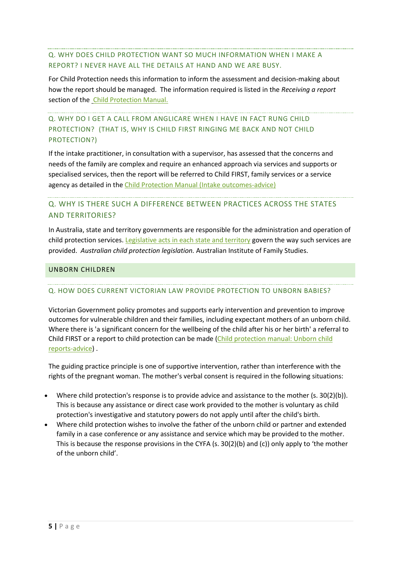## Q. WHY DOES CHILD PROTECTION WANT SO MUCH INFORMATION WHEN I MAKE A REPORT? I NEVER HAVE ALL THE DETAILS AT HAND AND WE ARE BUSY.

For Child Protection needs this information to inform the assessment and decision-making about how the report should be managed. The information required is listed in the *Receiving a report* section of the [Child Protection Manual.](http://www.cpmanual.vic.gov.au/advice-and-protocols/advice/intake/receiving-and-processing-reports#h3_1)

# Q. WHY DO I GET A CALL FROM ANGLICARE WHEN I HAVE IN FACT RUNG CHILD PROTECTION? (THAT IS, WHY IS CHILD FIRST RINGING ME BACK AND NOT CHILD PROTECTION?)

If the intake practitioner, in consultation with a supervisor, has assessed that the concerns and needs of the family are complex and require an enhanced approach via services and supports or specialised services, then the report will be referred to Child FIRST, family services or a service agency as detailed in the [Child Protection Manual \(Intake outcomes-advice\)](http://www.cpmanual.vic.gov.au/advice-and-protocols/advice/intake/intake-outcomes)

# Q. WHY IS THERE SUCH A DIFFERENCE BETWEEN PRACTICES ACROSS THE STATES AND TERRITORIES?

In Australia, state and territory governments are responsible for the administration and operation of child protection services. [Legislative acts in each state and territory](https://aifs.gov.au/cfca/publications/australian-child-protection-legislation) govern the way such services are provided. *Australian child protection legislation.* Australian Institute of Family Studies.

### UNBORN CHILDREN

# Q. HOW DOES CURRENT VICTORIAN LAW PROVIDE PROTECTION TO UNBORN BABIES?

Victorian Government policy promotes and supports early intervention and prevention to improve outcomes for vulnerable children and their families, including expectant mothers of an unborn child. Where there is 'a significant concern for the wellbeing of the child after his or her birth' a referral to Child FIRST or a report to child protection can be made [\(Child protection manual: Unborn child](http://www.cpmanual.vic.gov.au/advice-and-protocols/advice/intake/unborn-child-reports)  [reports-advice\)](http://www.cpmanual.vic.gov.au/advice-and-protocols/advice/intake/unborn-child-reports) .

The guiding practice principle is one of supportive intervention, rather than interference with the rights of the pregnant woman. The mother's verbal consent is required in the following situations:

- Where child protection's response is to provide advice and assistance to the mother (s. 30(2)(b)). This is because any assistance or direct case work provided to the mother is voluntary as child protection's investigative and statutory powers do not apply until after the child's birth.
- Where child protection wishes to involve the father of the unborn child or partner and extended family in a case conference or any assistance and service which may be provided to the mother. This is because the response provisions in the CYFA (s. 30(2)(b) and (c)) only apply to 'the mother of the unborn child'.